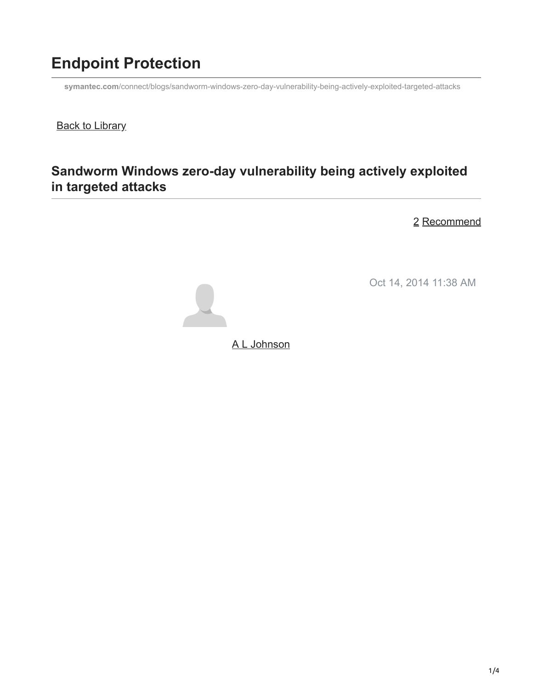# **Endpoint Protection**

**symantec.com**[/connect/blogs/sandworm-windows-zero-day-vulnerability-being-actively-exploited-targeted-attacks](https://www.symantec.com/connect/blogs/sandworm-windows-zero-day-vulnerability-being-actively-exploited-targeted-attacks)

**Back to Library** 

## **Sandworm Windows zero-day vulnerability being actively exploited in targeted attacks**

2 Recommend

Oct 14, 2014 11:38 AM



[A L Johnson](https://community.broadcom.com/symantecenterprise/network/members/profile?UserKey=cbd453fd-3ce1-4c47-af77-d746256f9bc4)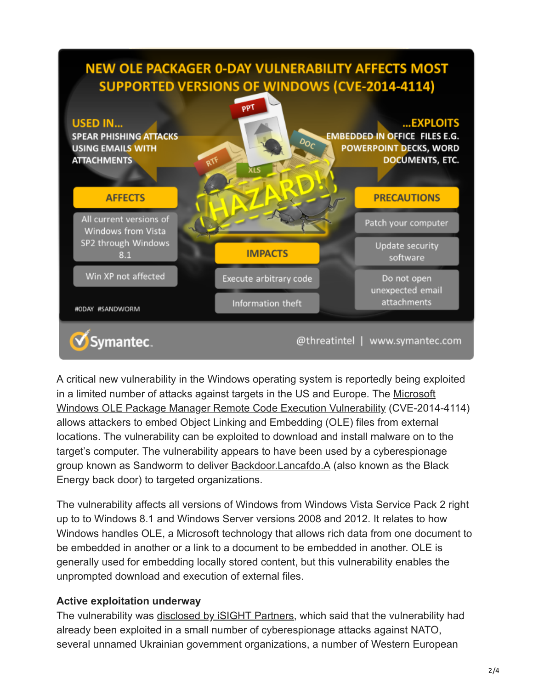# **NEW OLE PACKAGER 0-DAY VULNERABILITY AFFECTS MOST SUPPORTED VERSIONS OF WINDOWS (CVE-2014-4114)**



A critical new vulnerability in the Windows operating system is reportedly being exploited [in a limited number of attacks against targets in the US and Europe. The Microsoft](http://www.securityfocus.com/bid/70419/info) Windows OLE Package Manager Remote Code Execution Vulnerability (CVE-2014-4114) allows attackers to embed Object Linking and Embedding (OLE) files from external locations. The vulnerability can be exploited to download and install malware on to the target's computer. The vulnerability appears to have been used by a cyberespionage group known as Sandworm to deliver [Backdoor.Lancafdo.A](http://www.symantec.com/security_response/writeup.jsp?docid=2009-120911-3450-99) (also known as the Black Energy back door) to targeted organizations.

The vulnerability affects all versions of Windows from Windows Vista Service Pack 2 right up to to Windows 8.1 and Windows Server versions 2008 and 2012. It relates to how Windows handles OLE, a Microsoft technology that allows rich data from one document to be embedded in another or a link to a document to be embedded in another. OLE is generally used for embedding locally stored content, but this vulnerability enables the unprompted download and execution of external files.

### **Active exploitation underway**

The vulnerability was [disclosed by iSIGHT Partners,](http://www.isightpartners.com/2014/10/cve-2014-4114/) which said that the vulnerability had already been exploited in a small number of cyberespionage attacks against NATO, several unnamed Ukrainian government organizations, a number of Western European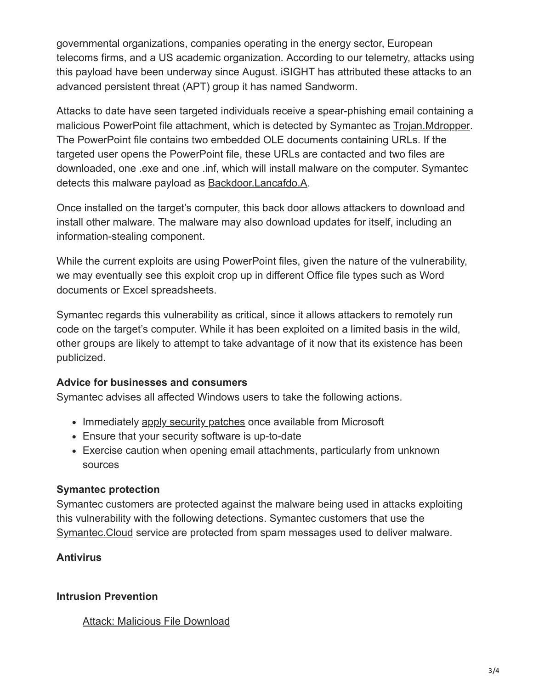governmental organizations, companies operating in the energy sector, European telecoms firms, and a US academic organization. According to our telemetry, attacks using this payload have been underway since August. iSIGHT has attributed these attacks to an advanced persistent threat (APT) group it has named Sandworm.

Attacks to date have seen targeted individuals receive a spear-phishing email containing a malicious PowerPoint file attachment, which is detected by Symantec as [Trojan.Mdropper](http://www.symantec.com/security_response/writeup.jsp?docid=2005-031911-0600-99). The PowerPoint file contains two embedded OLE documents containing URLs. If the targeted user opens the PowerPoint file, these URLs are contacted and two files are downloaded, one .exe and one .inf, which will install malware on the computer. Symantec detects this malware payload as [Backdoor.Lancafdo.A](http://www.symantec.com/security_response/writeup.jsp?docid=2009-120911-3450-99).

Once installed on the target's computer, this back door allows attackers to download and install other malware. The malware may also download updates for itself, including an information-stealing component.

While the current exploits are using PowerPoint files, given the nature of the vulnerability, we may eventually see this exploit crop up in different Office file types such as Word documents or Excel spreadsheets.

Symantec regards this vulnerability as critical, since it allows attackers to remotely run code on the target's computer. While it has been exploited on a limited basis in the wild, other groups are likely to attempt to take advantage of it now that its existence has been publicized.

### **Advice for businesses and consumers**

Symantec advises all affected Windows users to take the following actions.

- Immediately [apply security patches](https://technet.microsoft.com/library/security/ms14-060) once available from Microsoft
- Ensure that your security software is up-to-date
- Exercise caution when opening email attachments, particularly from unknown sources

#### **Symantec protection**

Symantec customers are protected against the malware being used in attacks exploiting this vulnerability with the following detections. Symantec customers that use the [Symantec.Cloud](http://www.symantec.com/products-solutions/families/?fid=symantec-cloud) service are protected from spam messages used to deliver malware.

### **Antivirus**

### **Intrusion Prevention**

#### [Attack: Malicious File Download](http://www.symantec.com/security_response/attacksignatures/detail.jsp?asid=27956)